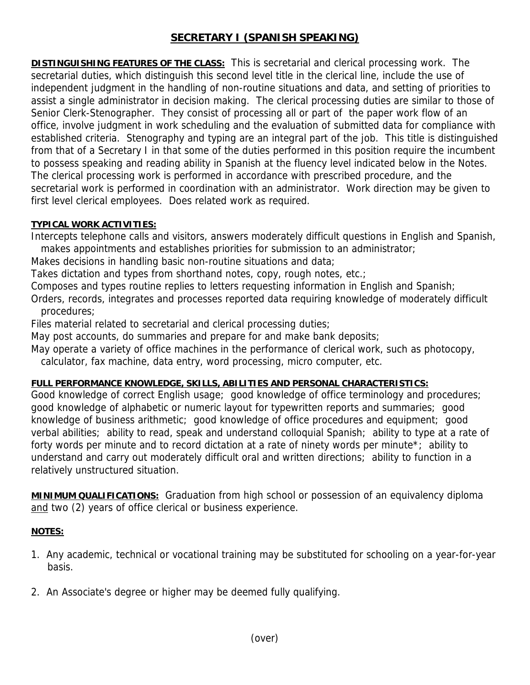## **SECRETARY I (SPANISH SPEAKING)**

**DISTINGUISHING FEATURES OF THE CLASS:** This is secretarial and clerical processing work. The secretarial duties, which distinguish this second level title in the clerical line, include the use of independent judgment in the handling of non-routine situations and data, and setting of priorities to assist a single administrator in decision making. The clerical processing duties are similar to those of Senior Clerk-Stenographer. They consist of processing all or part of the paper work flow of an office, involve judgment in work scheduling and the evaluation of submitted data for compliance with established criteria. Stenography and typing are an integral part of the job. This title is distinguished from that of a Secretary I in that some of the duties performed in this position require the incumbent to possess speaking and reading ability in Spanish at the fluency level indicated below in the Notes. The clerical processing work is performed in accordance with prescribed procedure, and the secretarial work is performed in coordination with an administrator. Work direction may be given to first level clerical employees. Does related work as required.

## **TYPICAL WORK ACTIVITIES:**

Intercepts telephone calls and visitors, answers moderately difficult questions in English and Spanish, makes appointments and establishes priorities for submission to an administrator;

Makes decisions in handling basic non-routine situations and data;

Takes dictation and types from shorthand notes, copy, rough notes, etc.;

Composes and types routine replies to letters requesting information in English and Spanish;

Orders, records, integrates and processes reported data requiring knowledge of moderately difficult procedures;

Files material related to secretarial and clerical processing duties;

May post accounts, do summaries and prepare for and make bank deposits;

May operate a variety of office machines in the performance of clerical work, such as photocopy, calculator, fax machine, data entry, word processing, micro computer, etc.

## **FULL PERFORMANCE KNOWLEDGE, SKILLS, ABILITIES AND PERSONAL CHARACTERISTICS:**

Good knowledge of correct English usage; good knowledge of office terminology and procedures; good knowledge of alphabetic or numeric layout for typewritten reports and summaries; good knowledge of business arithmetic; good knowledge of office procedures and equipment; good verbal abilities; ability to read, speak and understand colloquial Spanish; ability to type at a rate of forty words per minute and to record dictation at a rate of ninety words per minute\*; ability to understand and carry out moderately difficult oral and written directions; ability to function in a relatively unstructured situation.

**MINIMUM QUALIFICATIONS:** Graduation from high school or possession of an equivalency diploma and two (2) years of office clerical or business experience.

## **NOTES:**

- 1. Any academic, technical or vocational training may be substituted for schooling on a year-for-year basis.
- 2. An Associate's degree or higher may be deemed fully qualifying.